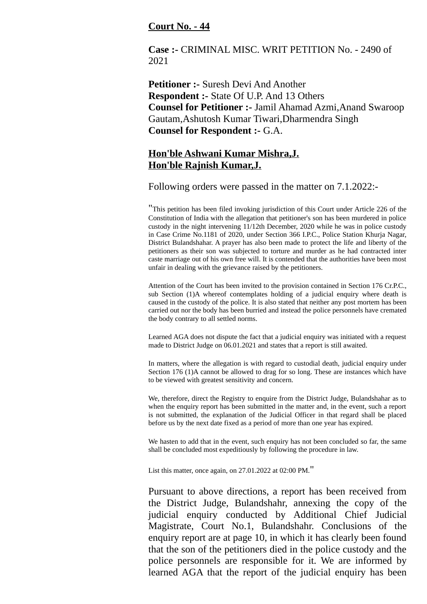## **Court No. - 44**

**Case :-** CRIMINAL MISC. WRIT PETITION No. - 2490 of 2021

**Petitioner :-** Suresh Devi And Another **Respondent :-** State Of U.P. And 13 Others **Counsel for Petitioner :-** Jamil Ahamad Azmi,Anand Swaroop Gautam,Ashutosh Kumar Tiwari,Dharmendra Singh **Counsel for Respondent :-** G.A.

## **Hon'ble Ashwani Kumar Mishra,J. Hon'ble Rajnish Kumar,J.**

Following orders were passed in the matter on 7.1.2022:-

"This petition has been filed invoking jurisdiction of this Court under Article 226 of the Constitution of India with the allegation that petitioner's son has been murdered in police custody in the night intervening 11/12th December, 2020 while he was in police custody in Case Crime No.1181 of 2020, under Section 366 I.P.C., Police Station Khurja Nagar, District Bulandshahar. A prayer has also been made to protect the life and liberty of the petitioners as their son was subjected to torture and murder as he had contracted inter caste marriage out of his own free will. It is contended that the authorities have been most unfair in dealing with the grievance raised by the petitioners.

Attention of the Court has been invited to the provision contained in Section 176 Cr.P.C., sub Section (1)A whereof contemplates holding of a judicial enquiry where death is caused in the custody of the police. It is also stated that neither any post mortem has been carried out nor the body has been burried and instead the police personnels have cremated the body contrary to all settled norms.

Learned AGA does not dispute the fact that a judicial enquiry was initiated with a request made to District Judge on 06.01.2021 and states that a report is still awaited.

In matters, where the allegation is with regard to custodial death, judicial enquiry under Section 176 (1)A cannot be allowed to drag for so long. These are instances which have to be viewed with greatest sensitivity and concern.

We, therefore, direct the Registry to enquire from the District Judge, Bulandshahar as to when the enquiry report has been submitted in the matter and, in the event, such a report is not submitted, the explanation of the Judicial Officer in that regard shall be placed before us by the next date fixed as a period of more than one year has expired.

We hasten to add that in the event, such enquiry has not been concluded so far, the same shall be concluded most expeditiously by following the procedure in law.

List this matter, once again, on 27.01.2022 at 02:00 PM."

Pursuant to above directions, a report has been received from the District Judge, Bulandshahr, annexing the copy of the judicial enquiry conducted by Additional Chief Judicial Magistrate, Court No.1, Bulandshahr. Conclusions of the enquiry report are at page 10, in which it has clearly been found that the son of the petitioners died in the police custody and the police personnels are responsible for it. We are informed by learned AGA that the report of the judicial enquiry has been